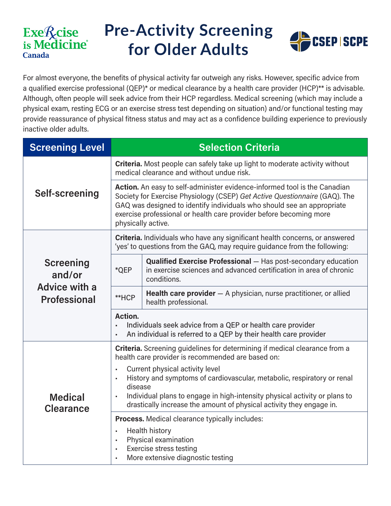#### Exellcise is Medicine<sup>®</sup> **Canada**

# **Pre-Activity Screening for Older Adults**



For almost everyone, the benefits of physical activity far outweigh any risks. However, specific advice from a qualified exercise professional (QEP)\* or medical clearance by a health care provider (HCP)\*\* is advisable. Although, often people will seek advice from their HCP regardless. Medical screening (which may include a physical exam, resting ECG or an exercise stress test depending on situation) and/or functional testing may provide reassurance of physical fitness status and may act as a confidence building experience to previously inactive older adults.

| <b>Screening Level</b>                                      | <b>Selection Criteria</b>                                                                                                                                                                                                                                                                                                                                                                                                                          |                                                                                                                                                            |  |
|-------------------------------------------------------------|----------------------------------------------------------------------------------------------------------------------------------------------------------------------------------------------------------------------------------------------------------------------------------------------------------------------------------------------------------------------------------------------------------------------------------------------------|------------------------------------------------------------------------------------------------------------------------------------------------------------|--|
| Self-screening                                              | Criteria. Most people can safely take up light to moderate activity without<br>medical clearance and without undue risk.                                                                                                                                                                                                                                                                                                                           |                                                                                                                                                            |  |
|                                                             | Action. An easy to self-administer evidence-informed tool is the Canadian<br>Society for Exercise Physiology (CSEP) Get Active Questionnaire (GAQ). The<br>GAQ was designed to identify individuals who should see an appropriate<br>exercise professional or health care provider before becoming more<br>physically active.                                                                                                                      |                                                                                                                                                            |  |
| Screening<br>and/or<br>Advice with a<br><b>Professional</b> | Criteria. Individuals who have any significant health concerns, or answered<br>'yes' to questions from the GAQ, may require guidance from the following:                                                                                                                                                                                                                                                                                           |                                                                                                                                                            |  |
|                                                             | *QEP                                                                                                                                                                                                                                                                                                                                                                                                                                               | <b>Qualified Exercise Professional</b> - Has post-secondary education<br>in exercise sciences and advanced certification in area of chronic<br>conditions. |  |
|                                                             | **HCP                                                                                                                                                                                                                                                                                                                                                                                                                                              | <b>Health care provider</b> $-$ A physician, nurse practitioner, or allied<br>health professional.                                                         |  |
|                                                             | Action.<br>Individuals seek advice from a QEP or health care provider<br>An individual is referred to a QEP by their health care provider                                                                                                                                                                                                                                                                                                          |                                                                                                                                                            |  |
| <b>Medical</b><br><b>Clearance</b>                          | Criteria. Screening guidelines for determining if medical clearance from a<br>health care provider is recommended are based on:<br>Current physical activity level<br>$\blacksquare$<br>History and symptoms of cardiovascular, metabolic, respiratory or renal<br>$\blacksquare$<br>disease<br>Individual plans to engage in high-intensity physical activity or plans to<br>drastically increase the amount of physical activity they engage in. |                                                                                                                                                            |  |
|                                                             | Process. Medical clearance typically includes:<br><b>Health history</b><br>$\blacksquare$<br>Physical examination<br>$\blacksquare$<br><b>Exercise stress testing</b><br>More extensive diagnostic testing                                                                                                                                                                                                                                         |                                                                                                                                                            |  |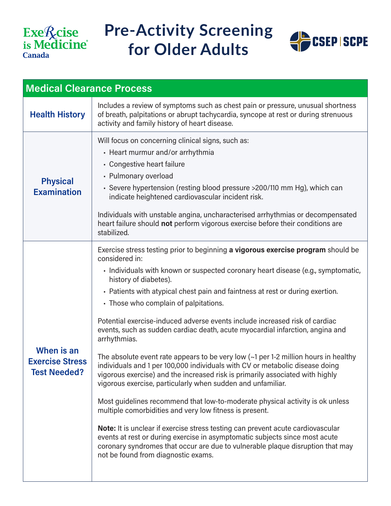## Exe<sup>*Q*</sup>cise</sup><br>is Medicine **Canada**

### **Pre-Activity Screening for Older Adults**



| <b>Medical Clearance Process</b>                            |                                                                                                                                                                                                                                                                                                                                                                                                                                                                                                                                                                                                                                                                                                                                                                                                                                                                                                                                                                                                                                                                                                                                                                                                                                                                                                          |  |  |  |
|-------------------------------------------------------------|----------------------------------------------------------------------------------------------------------------------------------------------------------------------------------------------------------------------------------------------------------------------------------------------------------------------------------------------------------------------------------------------------------------------------------------------------------------------------------------------------------------------------------------------------------------------------------------------------------------------------------------------------------------------------------------------------------------------------------------------------------------------------------------------------------------------------------------------------------------------------------------------------------------------------------------------------------------------------------------------------------------------------------------------------------------------------------------------------------------------------------------------------------------------------------------------------------------------------------------------------------------------------------------------------------|--|--|--|
| <b>Health History</b>                                       | Includes a review of symptoms such as chest pain or pressure, unusual shortness<br>of breath, palpitations or abrupt tachycardia, syncope at rest or during strenuous<br>activity and family history of heart disease.                                                                                                                                                                                                                                                                                                                                                                                                                                                                                                                                                                                                                                                                                                                                                                                                                                                                                                                                                                                                                                                                                   |  |  |  |
| <b>Physical</b><br><b>Examination</b>                       | Will focus on concerning clinical signs, such as:<br>• Heart murmur and/or arrhythmia<br>• Congestive heart failure<br>• Pulmonary overload<br>• Severe hypertension (resting blood pressure >200/110 mm Hg), which can<br>indicate heightened cardiovascular incident risk.<br>Individuals with unstable angina, uncharacterised arrhythmias or decompensated<br>heart failure should not perform vigorous exercise before their conditions are<br>stabilized.                                                                                                                                                                                                                                                                                                                                                                                                                                                                                                                                                                                                                                                                                                                                                                                                                                          |  |  |  |
| When is an<br><b>Exercise Stress</b><br><b>Test Needed?</b> | Exercise stress testing prior to beginning a vigorous exercise program should be<br>considered in:<br>· Individuals with known or suspected coronary heart disease (e.g., symptomatic,<br>history of diabetes).<br>. Patients with atypical chest pain and faintness at rest or during exertion.<br>• Those who complain of palpitations.<br>Potential exercise-induced adverse events include increased risk of cardiac<br>events, such as sudden cardiac death, acute myocardial infarction, angina and<br>arrhythmias.<br>The absolute event rate appears to be very low $\left(\sim1\right)$ per 1-2 million hours in healthy<br>individuals and 1 per 100,000 individuals with CV or metabolic disease doing<br>vigorous exercise) and the increased risk is primarily associated with highly<br>vigorous exercise, particularly when sudden and unfamiliar.<br>Most guidelines recommend that low-to-moderate physical activity is ok unless<br>multiple comorbidities and very low fitness is present.<br>Note: It is unclear if exercise stress testing can prevent acute cardiovascular<br>events at rest or during exercise in asymptomatic subjects since most acute<br>coronary syndromes that occur are due to vulnerable plaque disruption that may<br>not be found from diagnostic exams. |  |  |  |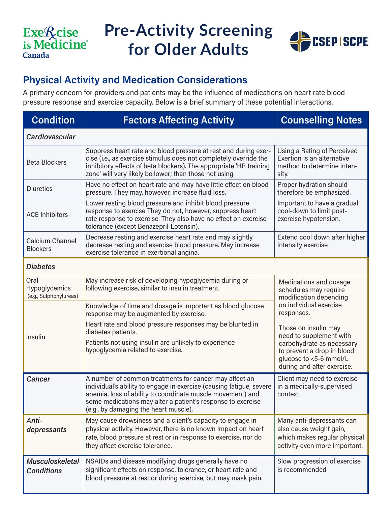## Exe<sup>q</sup> cise<br>is Medicine **Canada**

# **Pre-Activity Screening for Older Adults**



#### **Physical Activity and Medication Considerations**

A primary concern for providers and patients may be the influence of medications on heart rate blood pressure response and exercise capacity. Below is a brief summary of these potential interactions.

| <b>Condition</b>                                | <b>Factors Affecting Activity</b>                                                                                                                                                                                                                                                                   | <b>Counselling Notes</b>                                                                                                                                           |  |  |
|-------------------------------------------------|-----------------------------------------------------------------------------------------------------------------------------------------------------------------------------------------------------------------------------------------------------------------------------------------------------|--------------------------------------------------------------------------------------------------------------------------------------------------------------------|--|--|
| Cardiovascular                                  |                                                                                                                                                                                                                                                                                                     |                                                                                                                                                                    |  |  |
| <b>Beta Blockers</b>                            | Suppress heart rate and blood pressure at rest and during exer-<br>cise (i.e., as exercise stimulus does not completely override the<br>inhibitory effects of beta blockers). The appropriate 'HR training<br>zone' will very likely be lower; than those not using.                                | Using a Rating of Perceived<br>Exertion is an alternative<br>method to determine inten-<br>sity.                                                                   |  |  |
| <b>Diuretics</b>                                | Have no effect on heart rate and may have little effect on blood<br>pressure. They may, however, increase fluid loss.                                                                                                                                                                               | Proper hydration should<br>therefore be emphasized.                                                                                                                |  |  |
| <b>ACE Inhibitors</b>                           | Lower resting blood pressure and inhibit blood pressure<br>response to exercise They do not, however, suppress heart<br>rate response to exercise. They also have no effect on exercise<br>tolerance (except Benazepril-Lotensin).                                                                  | Important to have a gradual<br>cool-down to limit post-<br>exercise hypotension.                                                                                   |  |  |
| Calcium Channel<br><b>Blockers</b>              | Decrease resting and exercise heart rate and may slightly<br>decrease resting and exercise blood pressure. May increase<br>exercise tolerance in exertional angina.                                                                                                                                 | Extend cool down after higher<br>intensity exercise                                                                                                                |  |  |
| <b>Diabetes</b>                                 |                                                                                                                                                                                                                                                                                                     |                                                                                                                                                                    |  |  |
| Oral<br>Hypoglycemics<br>(e.g., Sulphonylureas) | May increase risk of developing hypoglycemia during or<br>following exercise, similar to insulin treatment.                                                                                                                                                                                         | Medications and dosage<br>schedules may require<br>modification depending                                                                                          |  |  |
|                                                 | on individual exercise<br>Knowledge of time and dosage is important as blood glucose<br>responses.<br>response may be augmented by exercise.                                                                                                                                                        |                                                                                                                                                                    |  |  |
| Insulin                                         | Heart rate and blood pressure responses may be blunted in<br>diabetes patients.<br>Patients not using insulin are unlikely to experience<br>hypoglycemia related to exercise.                                                                                                                       | Those on insulin may<br>need to supplement with<br>carbohydrate as necessary<br>to prevent a drop in blood<br>glucose to <5-6 mmol/L<br>during and after exercise. |  |  |
| Cancer                                          | A number of common treatments for cancer may affect an<br>individual's ability to engage in exercise (causing fatigue, severe<br>anemia, loss of ability to coordinate muscle movement) and<br>some medications may alter a patient's response to exercise<br>(e.g., by damaging the heart muscle). | Client may need to exercise<br>in a medically-supervised<br>context.                                                                                               |  |  |
| Anti-<br>depressants                            | May cause drowsiness and a client's capacity to engage in<br>physical activity. However, there is no known impact on heart<br>rate, blood pressure at rest or in response to exercise, nor do<br>they affect exercise tolerance.                                                                    | Many anti-depressants can<br>also cause weight gain,<br>which makes regular physical<br>activity even more important.                                              |  |  |
| <b>Musculoskeletal</b><br><b>Conditions</b>     | NSAIDs and disease modifying drugs generally have no<br>significant effects on response, tolerance, or heart rate and<br>blood pressure at rest or during exercise, but may mask pain.                                                                                                              | Slow progression of exercise<br>is recommended                                                                                                                     |  |  |